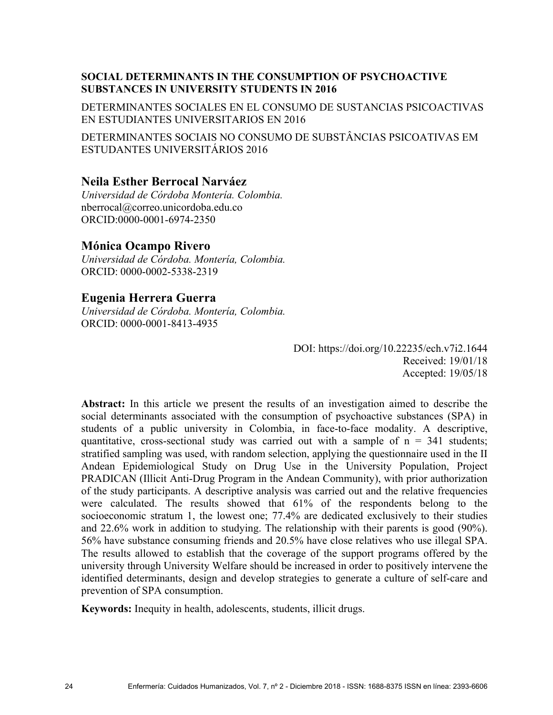# **SOCIAL DETERMINANTS IN THE CONSUMPTION OF PSYCHOACTIVE SUBSTANCES IN UNIVERSITY STUDENTS IN 2016**

DETERMINANTES SOCIALES EN EL CONSUMO DE SUSTANCIAS PSICOACTIVAS EN ESTUDIANTES UNIVERSITARIOS EN 2016

DETERMINANTES SOCIAIS NO CONSUMO DE SUBSTÂNCIAS PSICOATIVAS EM ESTUDANTES UNIVERSITÁRIOS 2016

# **Neila Esther Berrocal Narváez**

*Universidad de Córdoba Montería. Colombia.* nberrocal@correo.unicordoba.edu.co ORCID:0000-0001-6974-2350

# **Mónica Ocampo Rivero**

*Universidad de Córdoba. Montería, Colombia.*  ORCID: 0000-0002-5338-2319

### **Eugenia Herrera Guerra**

*Universidad de Córdoba. Montería, Colombia.*  ORCID: 0000-0001-8413-4935

> DOI: https://doi.org/10.22235/ech.v7i2.1644 Received: 19/01/18 Accepted: 19/05/18

**Abstract:** In this article we present the results of an investigation aimed to describe the social determinants associated with the consumption of psychoactive substances (SPA) in students of a public university in Colombia, in face-to-face modality. A descriptive, quantitative, cross-sectional study was carried out with a sample of  $n = 341$  students; stratified sampling was used, with random selection, applying the questionnaire used in the II Andean Epidemiological Study on Drug Use in the University Population, Project PRADICAN (Illicit Anti-Drug Program in the Andean Community), with prior authorization of the study participants. A descriptive analysis was carried out and the relative frequencies were calculated. The results showed that 61% of the respondents belong to the socioeconomic stratum 1, the lowest one; 77.4% are dedicated exclusively to their studies and 22.6% work in addition to studying. The relationship with their parents is good (90%). 56% have substance consuming friends and 20.5% have close relatives who use illegal SPA. The results allowed to establish that the coverage of the support programs offered by the university through University Welfare should be increased in order to positively intervene the identified determinants, design and develop strategies to generate a culture of self-care and prevention of SPA consumption.

**Keywords:** Inequity in health, adolescents, students, illicit drugs.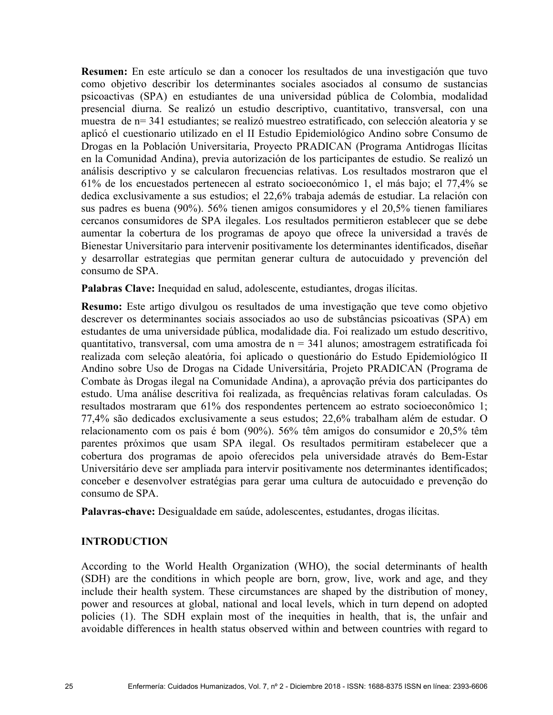**Resumen:** En este artículo se dan a conocer los resultados de una investigación que tuvo como objetivo describir los determinantes sociales asociados al consumo de sustancias psicoactivas (SPA) en estudiantes de una universidad pública de Colombia, modalidad presencial diurna. Se realizó un estudio descriptivo, cuantitativo, transversal, con una muestra de n= 341 estudiantes; se realizó muestreo estratificado, con selección aleatoria y se aplicó el cuestionario utilizado en el II Estudio Epidemiológico Andino sobre Consumo de Drogas en la Población Universitaria, Proyecto PRADICAN (Programa Antidrogas Ilícitas en la Comunidad Andina), previa autorización de los participantes de estudio. Se realizó un análisis descriptivo y se calcularon frecuencias relativas. Los resultados mostraron que el 61% de los encuestados pertenecen al estrato socioeconómico 1, el más bajo; el 77,4% se dedica exclusivamente a sus estudios; el 22,6% trabaja además de estudiar. La relación con sus padres es buena (90%). 56% tienen amigos consumidores y el 20,5% tienen familiares cercanos consumidores de SPA ilegales. Los resultados permitieron establecer que se debe aumentar la cobertura de los programas de apoyo que ofrece la universidad a través de Bienestar Universitario para intervenir positivamente los determinantes identificados, diseñar y desarrollar estrategias que permitan generar cultura de autocuidado y prevención del consumo de SPA.

**Palabras Clave:** Inequidad en salud, adolescente, estudiantes, drogas ilícitas.

**Resumo:** Este artigo divulgou os resultados de uma investigação que teve como objetivo descrever os determinantes sociais associados ao uso de substâncias psicoativas (SPA) em estudantes de uma universidade pública, modalidade dia. Foi realizado um estudo descritivo, quantitativo, transversal, com uma amostra de  $n = 341$  alunos; amostragem estratificada foi realizada com seleção aleatória, foi aplicado o questionário do Estudo Epidemiológico II Andino sobre Uso de Drogas na Cidade Universitária, Projeto PRADICAN (Programa de Combate às Drogas ilegal na Comunidade Andina), a aprovação prévia dos participantes do estudo. Uma análise descritiva foi realizada, as frequências relativas foram calculadas. Os resultados mostraram que 61% dos respondentes pertencem ao estrato socioeconômico 1; 77,4% são dedicados exclusivamente a seus estudos; 22,6% trabalham além de estudar. O relacionamento com os pais é bom (90%). 56% têm amigos do consumidor e 20,5% têm parentes próximos que usam SPA ilegal. Os resultados permitiram estabelecer que a cobertura dos programas de apoio oferecidos pela universidade através do Bem-Estar Universitário deve ser ampliada para intervir positivamente nos determinantes identificados; conceber e desenvolver estratégias para gerar uma cultura de autocuidado e prevenção do consumo de SPA.

**Palavras-chave:** Desigualdade em saúde, adolescentes, estudantes, drogas ilícitas.

### **INTRODUCTION**

According to the World Health Organization (WHO), the social determinants of health (SDH) are the conditions in which people are born, grow, live, work and age, and they include their health system. These circumstances are shaped by the distribution of money, power and resources at global, national and local levels, which in turn depend on adopted policies (1). The SDH explain most of the inequities in health, that is, the unfair and avoidable differences in health status observed within and between countries with regard to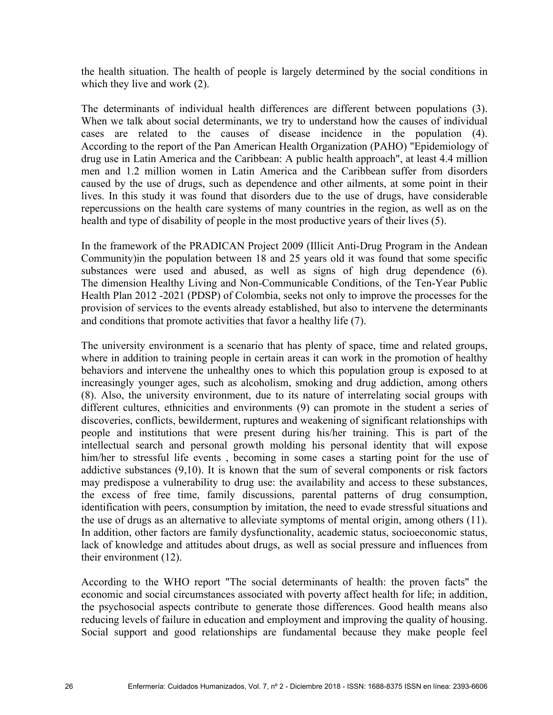the health situation. The health of people is largely determined by the social conditions in which they live and work (2).

The determinants of individual health differences are different between populations (3). When we talk about social determinants, we try to understand how the causes of individual cases are related to the causes of disease incidence in the population (4). According to the report of the Pan American Health Organization (PAHO) "Epidemiology of drug use in Latin America and the Caribbean: A public health approach", at least 4.4 million men and 1.2 million women in Latin America and the Caribbean suffer from disorders caused by the use of drugs, such as dependence and other ailments, at some point in their lives. In this study it was found that disorders due to the use of drugs, have considerable repercussions on the health care systems of many countries in the region, as well as on the health and type of disability of people in the most productive years of their lives (5).

In the framework of the PRADICAN Project 2009 (Illicit Anti-Drug Program in the Andean Community)in the population between 18 and 25 years old it was found that some specific substances were used and abused, as well as signs of high drug dependence (6). The dimension Healthy Living and Non-Communicable Conditions, of the Ten-Year Public Health Plan 2012 -2021 (PDSP) of Colombia, seeks not only to improve the processes for the provision of services to the events already established, but also to intervene the determinants and conditions that promote activities that favor a healthy life (7).

The university environment is a scenario that has plenty of space, time and related groups, where in addition to training people in certain areas it can work in the promotion of healthy behaviors and intervene the unhealthy ones to which this population group is exposed to at increasingly younger ages, such as alcoholism, smoking and drug addiction, among others (8). Also, the university environment, due to its nature of interrelating social groups with different cultures, ethnicities and environments (9) can promote in the student a series of discoveries, conflicts, bewilderment, ruptures and weakening of significant relationships with people and institutions that were present during his/her training. This is part of the intellectual search and personal growth molding his personal identity that will expose him/her to stressful life events, becoming in some cases a starting point for the use of addictive substances (9,10). It is known that the sum of several components or risk factors may predispose a vulnerability to drug use: the availability and access to these substances, the excess of free time, family discussions, parental patterns of drug consumption, identification with peers, consumption by imitation, the need to evade stressful situations and the use of drugs as an alternative to alleviate symptoms of mental origin, among others (11). In addition, other factors are family dysfunctionality, academic status, socioeconomic status, lack of knowledge and attitudes about drugs, as well as social pressure and influences from their environment (12).

According to the WHO report "The social determinants of health: the proven facts" the economic and social circumstances associated with poverty affect health for life; in addition, the psychosocial aspects contribute to generate those differences. Good health means also reducing levels of failure in education and employment and improving the quality of housing. Social support and good relationships are fundamental because they make people feel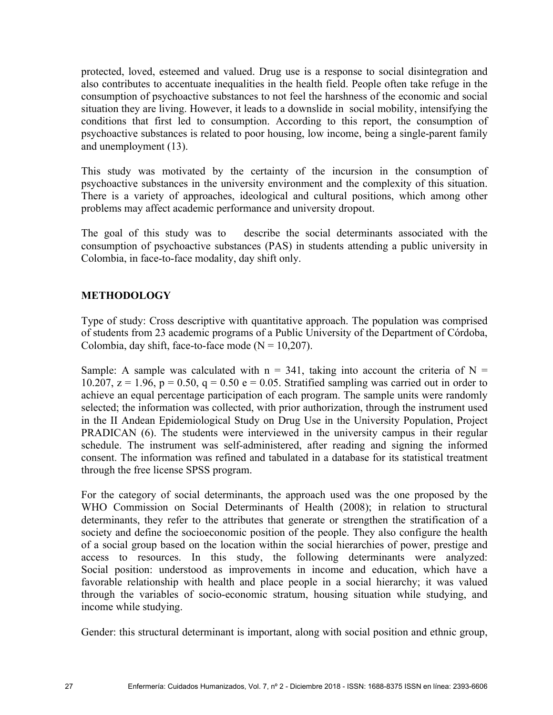protected, loved, esteemed and valued. Drug use is a response to social disintegration and also contributes to accentuate inequalities in the health field. People often take refuge in the consumption of psychoactive substances to not feel the harshness of the economic and social situation they are living. However, it leads to a downslide in social mobility, intensifying the conditions that first led to consumption. According to this report, the consumption of psychoactive substances is related to poor housing, low income, being a single-parent family and unemployment (13).

This study was motivated by the certainty of the incursion in the consumption of psychoactive substances in the university environment and the complexity of this situation. There is a variety of approaches, ideological and cultural positions, which among other problems may affect academic performance and university dropout.

The goal of this study was to describe the social determinants associated with the consumption of psychoactive substances (PAS) in students attending a public university in Colombia, in face-to-face modality, day shift only.

# **METHODOLOGY**

Type of study: Cross descriptive with quantitative approach. The population was comprised of students from 23 academic programs of a Public University of the Department of Córdoba, Colombia, day shift, face-to-face mode  $(N = 10,207)$ .

Sample: A sample was calculated with  $n = 341$ , taking into account the criteria of N = 10.207,  $z = 1.96$ ,  $p = 0.50$ ,  $q = 0.50$  e = 0.05. Stratified sampling was carried out in order to achieve an equal percentage participation of each program. The sample units were randomly selected; the information was collected, with prior authorization, through the instrument used in the II Andean Epidemiological Study on Drug Use in the University Population, Project PRADICAN (6). The students were interviewed in the university campus in their regular schedule. The instrument was self-administered, after reading and signing the informed consent. The information was refined and tabulated in a database for its statistical treatment through the free license SPSS program.

For the category of social determinants, the approach used was the one proposed by the WHO Commission on Social Determinants of Health (2008); in relation to structural determinants, they refer to the attributes that generate or strengthen the stratification of a society and define the socioeconomic position of the people. They also configure the health of a social group based on the location within the social hierarchies of power, prestige and access to resources. In this study, the following determinants were analyzed: Social position: understood as improvements in income and education, which have a favorable relationship with health and place people in a social hierarchy; it was valued through the variables of socio-economic stratum, housing situation while studying, and income while studying.

Gender: this structural determinant is important, along with social position and ethnic group,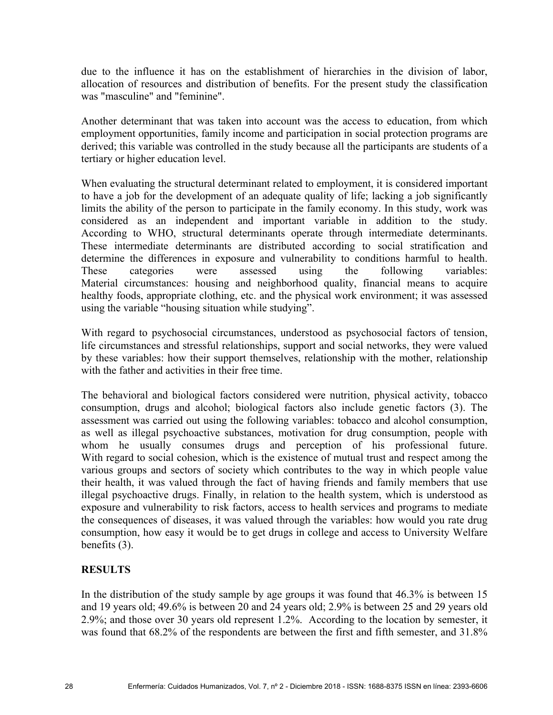due to the influence it has on the establishment of hierarchies in the division of labor, allocation of resources and distribution of benefits. For the present study the classification was "masculine" and "feminine".

Another determinant that was taken into account was the access to education, from which employment opportunities, family income and participation in social protection programs are derived; this variable was controlled in the study because all the participants are students of a tertiary or higher education level.

When evaluating the structural determinant related to employment, it is considered important to have a job for the development of an adequate quality of life; lacking a job significantly limits the ability of the person to participate in the family economy. In this study, work was considered as an independent and important variable in addition to the study. According to WHO, structural determinants operate through intermediate determinants. These intermediate determinants are distributed according to social stratification and determine the differences in exposure and vulnerability to conditions harmful to health. These categories were assessed using the following variables: Material circumstances: housing and neighborhood quality, financial means to acquire healthy foods, appropriate clothing, etc. and the physical work environment; it was assessed using the variable "housing situation while studying".

With regard to psychosocial circumstances, understood as psychosocial factors of tension, life circumstances and stressful relationships, support and social networks, they were valued by these variables: how their support themselves, relationship with the mother, relationship with the father and activities in their free time.

The behavioral and biological factors considered were nutrition, physical activity, tobacco consumption, drugs and alcohol; biological factors also include genetic factors (3). The assessment was carried out using the following variables: tobacco and alcohol consumption, as well as illegal psychoactive substances, motivation for drug consumption, people with whom he usually consumes drugs and perception of his professional future. With regard to social cohesion, which is the existence of mutual trust and respect among the various groups and sectors of society which contributes to the way in which people value their health, it was valued through the fact of having friends and family members that use illegal psychoactive drugs. Finally, in relation to the health system, which is understood as exposure and vulnerability to risk factors, access to health services and programs to mediate the consequences of diseases, it was valued through the variables: how would you rate drug consumption, how easy it would be to get drugs in college and access to University Welfare benefits (3).

# **RESULTS**

In the distribution of the study sample by age groups it was found that 46.3% is between 15 and 19 years old; 49.6% is between 20 and 24 years old; 2.9% is between 25 and 29 years old 2.9%; and those over 30 years old represent 1.2%. According to the location by semester, it was found that 68.2% of the respondents are between the first and fifth semester, and 31.8%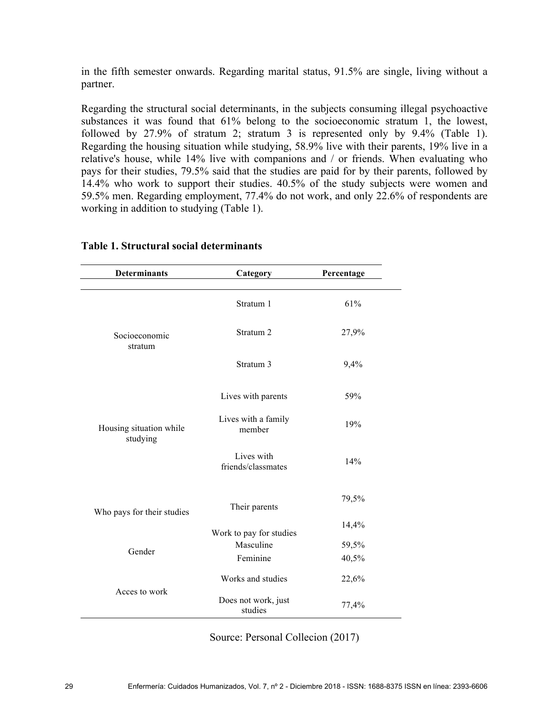in the fifth semester onwards. Regarding marital status, 91.5% are single, living without a partner.

Regarding the structural social determinants, in the subjects consuming illegal psychoactive substances it was found that 61% belong to the socioeconomic stratum 1, the lowest, followed by 27.9% of stratum 2; stratum 3 is represented only by 9.4% (Table 1). Regarding the housing situation while studying, 58.9% live with their parents, 19% live in a relative's house, while 14% live with companions and / or friends. When evaluating who pays for their studies, 79.5% said that the studies are paid for by their parents, followed by 14.4% who work to support their studies. 40.5% of the study subjects were women and 59.5% men. Regarding employment, 77.4% do not work, and only 22.6% of respondents are working in addition to studying (Table 1).

| <b>Determinants</b>                 | Category                         | Percentage |
|-------------------------------------|----------------------------------|------------|
| Socioeconomic<br>stratum            | Stratum 1                        | 61%        |
|                                     | Stratum <sub>2</sub>             | 27,9%      |
|                                     | Stratum 3                        | 9,4%       |
| Housing situation while<br>studying | Lives with parents               | 59%        |
|                                     | Lives with a family<br>member    | 19%        |
|                                     | Lives with<br>friends/classmates | 14%        |
| Who pays for their studies          | Their parents                    | 79,5%      |
|                                     | Work to pay for studies          | 14,4%      |
| Gender                              | Masculine                        | 59,5%      |
|                                     | Feminine                         | 40,5%      |
| Acces to work                       | Works and studies                | 22,6%      |
|                                     | Does not work, just<br>studies   | 77,4%      |

#### **Table 1. Structural social determinants**

Source: Personal Collecion (2017)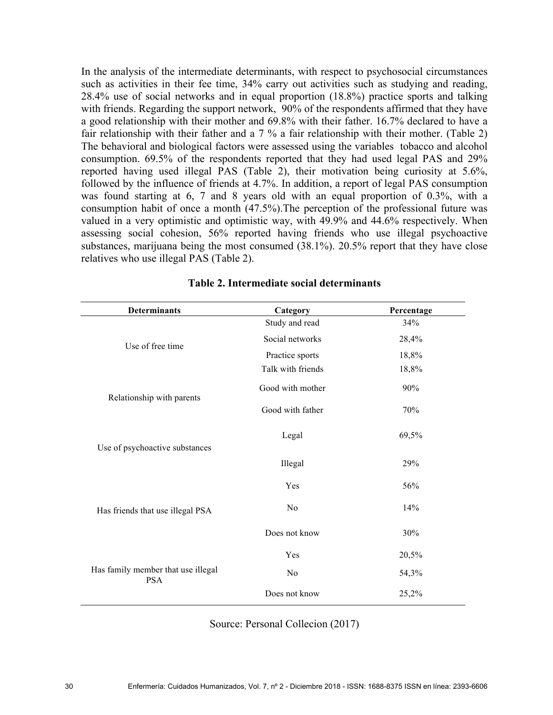In the analysis of the intermediate determinants, with respect to psychosocial circumstances such as activities in their fee time, 34% carry out activities such as studying and reading, 28.4% use of social networks and in equal proportion (18.8%) practice sports and talking with friends. Regarding the support network, 90% of the respondents affirmed that they have a good relationship with their mother and 69.8% with their father. 16.7% declared to have a fair relationship with their father and a 7 % a fair relationship with their mother. (Table 2) The behavioral and biological factors were assessed using the variables tobacco and alcohol consumption. 69.5% of the respondents reported that they had used legal PAS and 29% reported having used illegal PAS (Table 2), their motivation being curiosity at 5.6%, followed by the influence of friends at 4.7%. In addition, a report of legal PAS consumption was found starting at 6, 7 and 8 years old with an equal proportion of 0.3%, with a consumption habit of once a month (47.5%).The perception of the professional future was valued in a very optimistic and optimistic way, with 49.9% and 44.6% respectively. When assessing social cohesion, 56% reported having friends who use illegal psychoactive substances, marijuana being the most consumed (38.1%). 20.5% report that they have close relatives who use illegal PAS (Table 2).

| <b>Determinants</b>                              | Category          | Percentage |
|--------------------------------------------------|-------------------|------------|
| Use of free time                                 | Study and read    | 34%        |
|                                                  | Social networks   | 28,4%      |
|                                                  | Practice sports   | 18,8%      |
|                                                  | Talk with friends | 18,8%      |
| Relationship with parents                        | Good with mother  | 90%        |
|                                                  | Good with father  | 70%        |
| Use of psychoactive substances                   | Legal             | 69,5%      |
|                                                  | Illegal           | 29%        |
| Has friends that use illegal PSA                 | Yes               | 56%        |
|                                                  | N <sub>0</sub>    | 14%        |
|                                                  | Does not know     | 30%        |
| Has family member that use illegal<br><b>PSA</b> | Yes               | 20,5%      |
|                                                  | No                | 54,3%      |
|                                                  | Does not know     | 25,2%      |

# **Table 2. Intermediate social determinants**

Source: Personal Collecion (2017)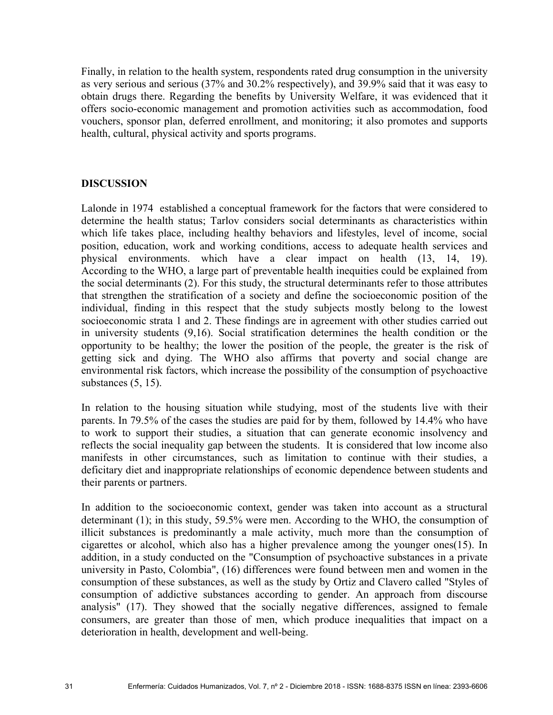Finally, in relation to the health system, respondents rated drug consumption in the university as very serious and serious (37% and 30.2% respectively), and 39.9% said that it was easy to obtain drugs there. Regarding the benefits by University Welfare, it was evidenced that it offers socio-economic management and promotion activities such as accommodation, food vouchers, sponsor plan, deferred enrollment, and monitoring; it also promotes and supports health, cultural, physical activity and sports programs.

#### **DISCUSSION**

Lalonde in 1974 established a conceptual framework for the factors that were considered to determine the health status; Tarlov considers social determinants as characteristics within which life takes place, including healthy behaviors and lifestyles, level of income, social position, education, work and working conditions, access to adequate health services and physical environments. which have a clear impact on health (13, 14, 19). According to the WHO, a large part of preventable health inequities could be explained from the social determinants (2). For this study, the structural determinants refer to those attributes that strengthen the stratification of a society and define the socioeconomic position of the individual, finding in this respect that the study subjects mostly belong to the lowest socioeconomic strata 1 and 2. These findings are in agreement with other studies carried out in university students (9,16). Social stratification determines the health condition or the opportunity to be healthy; the lower the position of the people, the greater is the risk of getting sick and dying. The WHO also affirms that poverty and social change are environmental risk factors, which increase the possibility of the consumption of psychoactive substances (5, 15).

In relation to the housing situation while studying, most of the students live with their parents. In 79.5% of the cases the studies are paid for by them, followed by 14.4% who have to work to support their studies, a situation that can generate economic insolvency and reflects the social inequality gap between the students. It is considered that low income also manifests in other circumstances, such as limitation to continue with their studies, a deficitary diet and inappropriate relationships of economic dependence between students and their parents or partners.

In addition to the socioeconomic context, gender was taken into account as a structural determinant (1); in this study, 59.5% were men. According to the WHO, the consumption of illicit substances is predominantly a male activity, much more than the consumption of cigarettes or alcohol, which also has a higher prevalence among the younger ones(15). In addition, in a study conducted on the "Consumption of psychoactive substances in a private university in Pasto, Colombia", (16) differences were found between men and women in the consumption of these substances, as well as the study by Ortiz and Clavero called "Styles of consumption of addictive substances according to gender. An approach from discourse analysis" (17). They showed that the socially negative differences, assigned to female consumers, are greater than those of men, which produce inequalities that impact on a deterioration in health, development and well-being.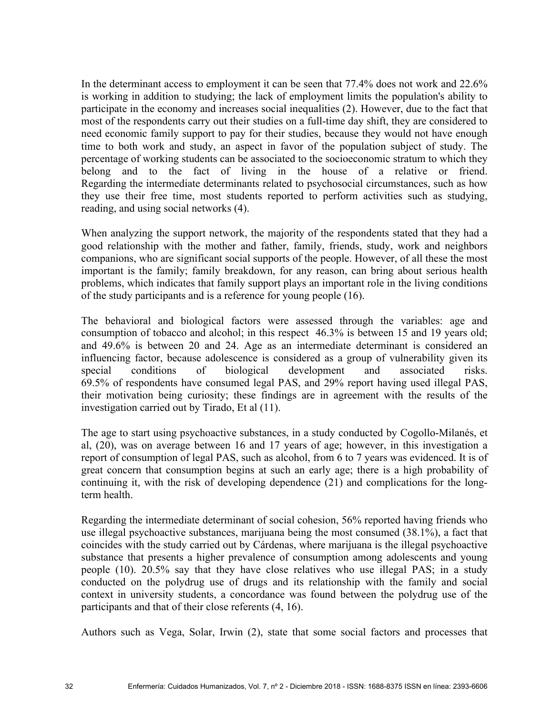In the determinant access to employment it can be seen that 77.4% does not work and 22.6% is working in addition to studying; the lack of employment limits the population's ability to participate in the economy and increases social inequalities (2). However, due to the fact that most of the respondents carry out their studies on a full-time day shift, they are considered to need economic family support to pay for their studies, because they would not have enough time to both work and study, an aspect in favor of the population subject of study. The percentage of working students can be associated to the socioeconomic stratum to which they belong and to the fact of living in the house of a relative or friend. Regarding the intermediate determinants related to psychosocial circumstances, such as how they use their free time, most students reported to perform activities such as studying, reading, and using social networks (4).

When analyzing the support network, the majority of the respondents stated that they had a good relationship with the mother and father, family, friends, study, work and neighbors companions, who are significant social supports of the people. However, of all these the most important is the family; family breakdown, for any reason, can bring about serious health problems, which indicates that family support plays an important role in the living conditions of the study participants and is a reference for young people (16).

The behavioral and biological factors were assessed through the variables: age and consumption of tobacco and alcohol; in this respect 46.3% is between 15 and 19 years old; and 49.6% is between 20 and 24. Age as an intermediate determinant is considered an influencing factor, because adolescence is considered as a group of vulnerability given its special conditions of biological development and associated risks. 69.5% of respondents have consumed legal PAS, and 29% report having used illegal PAS, their motivation being curiosity; these findings are in agreement with the results of the investigation carried out by Tirado, Et al (11).

The age to start using psychoactive substances, in a study conducted by Cogollo-Milanés, et al, (20), was on average between 16 and 17 years of age; however, in this investigation a report of consumption of legal PAS, such as alcohol, from 6 to 7 years was evidenced. It is of great concern that consumption begins at such an early age; there is a high probability of continuing it, with the risk of developing dependence (21) and complications for the longterm health.

Regarding the intermediate determinant of social cohesion, 56% reported having friends who use illegal psychoactive substances, marijuana being the most consumed (38.1%), a fact that coincides with the study carried out by Cárdenas, where marijuana is the illegal psychoactive substance that presents a higher prevalence of consumption among adolescents and young people (10). 20.5% say that they have close relatives who use illegal PAS; in a study conducted on the polydrug use of drugs and its relationship with the family and social context in university students, a concordance was found between the polydrug use of the participants and that of their close referents (4, 16).

Authors such as Vega, Solar, Irwin (2), state that some social factors and processes that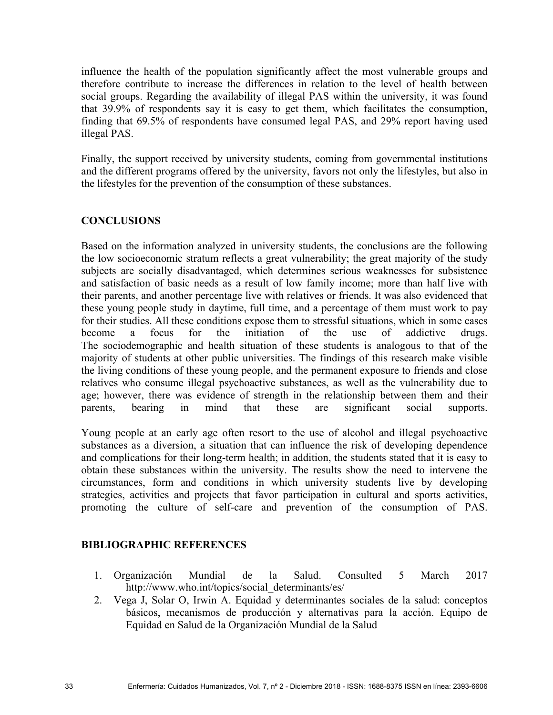influence the health of the population significantly affect the most vulnerable groups and therefore contribute to increase the differences in relation to the level of health between social groups. Regarding the availability of illegal PAS within the university, it was found that 39.9% of respondents say it is easy to get them, which facilitates the consumption, finding that 69.5% of respondents have consumed legal PAS, and 29% report having used illegal PAS.

Finally, the support received by university students, coming from governmental institutions and the different programs offered by the university, favors not only the lifestyles, but also in the lifestyles for the prevention of the consumption of these substances.

# **CONCLUSIONS**

Based on the information analyzed in university students, the conclusions are the following the low socioeconomic stratum reflects a great vulnerability; the great majority of the study subjects are socially disadvantaged, which determines serious weaknesses for subsistence and satisfaction of basic needs as a result of low family income; more than half live with their parents, and another percentage live with relatives or friends. It was also evidenced that these young people study in daytime, full time, and a percentage of them must work to pay for their studies. All these conditions expose them to stressful situations, which in some cases become a focus for the initiation of the use of addictive drugs. The sociodemographic and health situation of these students is analogous to that of the majority of students at other public universities. The findings of this research make visible the living conditions of these young people, and the permanent exposure to friends and close relatives who consume illegal psychoactive substances, as well as the vulnerability due to age; however, there was evidence of strength in the relationship between them and their parents, bearing in mind that these are significant social supports.

Young people at an early age often resort to the use of alcohol and illegal psychoactive substances as a diversion, a situation that can influence the risk of developing dependence and complications for their long-term health; in addition, the students stated that it is easy to obtain these substances within the university. The results show the need to intervene the circumstances, form and conditions in which university students live by developing strategies, activities and projects that favor participation in cultural and sports activities, promoting the culture of self-care and prevention of the consumption of PAS.

# **BIBLIOGRAPHIC REFERENCES**

- 1. Organización Mundial de la Salud. Consulted 5 March 2017 http://www.who.int/topics/social\_determinants/es/
- 2. Vega J, Solar O, Irwin A. Equidad y determinantes sociales de la salud: conceptos básicos, mecanismos de producción y alternativas para la acción. Equipo de Equidad en Salud de la Organización Mundial de la Salud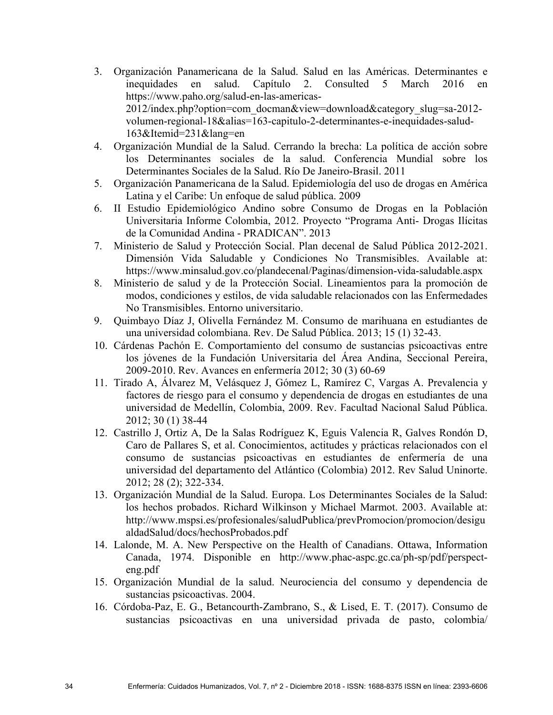- 3. Organización Panamericana de la Salud. Salud en las Américas. Determinantes e inequidades en salud. Capítulo 2. Consulted 5 March 2016 en https://www.paho.org/salud-en-las-americas-2012/index.php?option=com\_docman&view=download&category\_slug=sa-2012 volumen-regional-18&alias=163-capitulo-2-determinantes-e-inequidades-salud-163&Itemid=231&lang=en
- 4. Organización Mundial de la Salud. Cerrando la brecha: La política de acción sobre los Determinantes sociales de la salud. Conferencia Mundial sobre los Determinantes Sociales de la Salud. Río De Janeiro-Brasil. 2011
- 5. Organización Panamericana de la Salud. Epidemiología del uso de drogas en América Latina y el Caribe: Un enfoque de salud pública. 2009
- 6. II Estudio Epidemiológico Andino sobre Consumo de Drogas en la Población Universitaria Informe Colombia, 2012. Proyecto "Programa Anti- Drogas Ilícitas de la Comunidad Andina - PRADICAN". 2013
- 7. Ministerio de Salud y Protección Social. Plan decenal de Salud Pública 2012-2021. Dimensión Vida Saludable y Condiciones No Transmisibles. Available at: https://www.minsalud.gov.co/plandecenal/Paginas/dimension-vida-saludable.aspx
- 8. Ministerio de salud y de la Protección Social. Lineamientos para la promoción de modos, condiciones y estilos, de vida saludable relacionados con las Enfermedades No Transmisibles. Entorno universitario.
- 9. Quimbayo Díaz J, Olivella Fernández M. Consumo de marihuana en estudiantes de una universidad colombiana. Rev. De Salud Pública. 2013; 15 (1) 32-43.
- 10. Cárdenas Pachón E. Comportamiento del consumo de sustancias psicoactivas entre los jóvenes de la Fundación Universitaria del Área Andina, Seccional Pereira, 2009-2010. Rev. Avances en enfermería 2012; 30 (3) 60-69
- 11. Tirado A, Álvarez M, Velásquez J, Gómez L, Ramírez C, Vargas A. Prevalencia y factores de riesgo para el consumo y dependencia de drogas en estudiantes de una universidad de Medellín, Colombia, 2009. Rev. Facultad Nacional Salud Pública. 2012; 30 (1) 38-44
- 12. Castrillo J, Ortiz A, De la Salas Rodríguez K, Eguis Valencia R, Galves Rondón D, Caro de Pallares S, et al. Conocimientos, actitudes y prácticas relacionados con el consumo de sustancias psicoactivas en estudiantes de enfermería de una universidad del departamento del Atlántico (Colombia) 2012. Rev Salud Uninorte. 2012; 28 (2); 322-334.
- 13. Organización Mundial de la Salud. Europa. Los Determinantes Sociales de la Salud: los hechos probados. Richard Wilkinson y Michael Marmot. 2003. Available at: http://www.mspsi.es/profesionales/saludPublica/prevPromocion/promocion/desigu aldadSalud/docs/hechosProbados.pdf
- 14. Lalonde, M. A. New Perspective on the Health of Canadians. Ottawa, Information Canada, 1974. Disponible en http://www.phac-aspc.gc.ca/ph-sp/pdf/perspecteng.pdf
- 15. Organización Mundial de la salud. Neurociencia del consumo y dependencia de sustancias psicoactivas. 2004.
- 16. Córdoba-Paz, E. G., Betancourth-Zambrano, S., & Lised, E. T. (2017). Consumo de sustancias psicoactivas en una universidad privada de pasto, colombia/